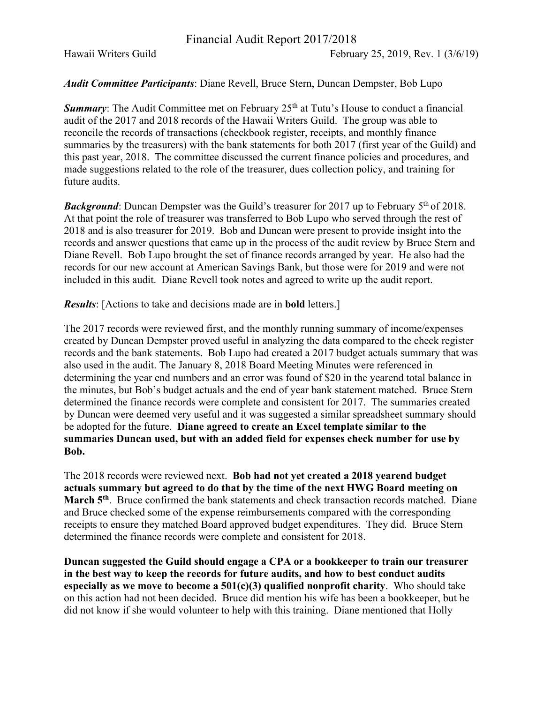Hawaii Writers Guild February 25, 2019, Rev. 1 (3/6/19)

## *Audit Committee Participants*: Diane Revell, Bruce Stern, Duncan Dempster, Bob Lupo

**Summary:** The Audit Committee met on February 25<sup>th</sup> at Tutu's House to conduct a financial audit of the 2017 and 2018 records of the Hawaii Writers Guild. The group was able to reconcile the records of transactions (checkbook register, receipts, and monthly finance summaries by the treasurers) with the bank statements for both 2017 (first year of the Guild) and this past year, 2018. The committee discussed the current finance policies and procedures, and made suggestions related to the role of the treasurer, dues collection policy, and training for future audits.

**Background:** Duncan Dempster was the Guild's treasurer for 2017 up to February 5<sup>th</sup> of 2018. At that point the role of treasurer was transferred to Bob Lupo who served through the rest of 2018 and is also treasurer for 2019. Bob and Duncan were present to provide insight into the records and answer questions that came up in the process of the audit review by Bruce Stern and Diane Revell. Bob Lupo brought the set of finance records arranged by year. He also had the records for our new account at American Savings Bank, but those were for 2019 and were not included in this audit. Diane Revell took notes and agreed to write up the audit report.

*Results*: [Actions to take and decisions made are in **bold** letters.]

The 2017 records were reviewed first, and the monthly running summary of income/expenses created by Duncan Dempster proved useful in analyzing the data compared to the check register records and the bank statements. Bob Lupo had created a 2017 budget actuals summary that was also used in the audit. The January 8, 2018 Board Meeting Minutes were referenced in determining the year end numbers and an error was found of \$20 in the yearend total balance in the minutes, but Bob's budget actuals and the end of year bank statement matched. Bruce Stern determined the finance records were complete and consistent for 2017. The summaries created by Duncan were deemed very useful and it was suggested a similar spreadsheet summary should be adopted for the future. **Diane agreed to create an Excel template similar to the summaries Duncan used, but with an added field for expenses check number for use by Bob.**

The 2018 records were reviewed next. **Bob had not yet created a 2018 yearend budget actuals summary but agreed to do that by the time of the next HWG Board meeting on March 5<sup>th</sup>**. Bruce confirmed the bank statements and check transaction records matched. Diane and Bruce checked some of the expense reimbursements compared with the corresponding receipts to ensure they matched Board approved budget expenditures. They did. Bruce Stern determined the finance records were complete and consistent for 2018.

**Duncan suggested the Guild should engage a CPA or a bookkeeper to train our treasurer in the best way to keep the records for future audits, and how to best conduct audits especially as we move to become a 501(c)(3) qualified nonprofit charity**. Who should take on this action had not been decided. Bruce did mention his wife has been a bookkeeper, but he did not know if she would volunteer to help with this training. Diane mentioned that Holly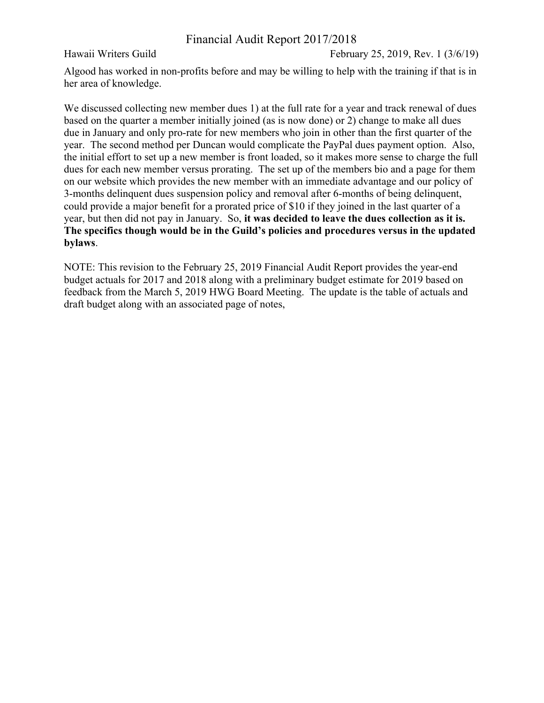Hawaii Writers Guild February 25, 2019, Rev. 1 (3/6/19)

Algood has worked in non-profits before and may be willing to help with the training if that is in her area of knowledge.

We discussed collecting new member dues 1) at the full rate for a year and track renewal of dues based on the quarter a member initially joined (as is now done) or 2) change to make all dues due in January and only pro-rate for new members who join in other than the first quarter of the year. The second method per Duncan would complicate the PayPal dues payment option. Also, the initial effort to set up a new member is front loaded, so it makes more sense to charge the full dues for each new member versus prorating. The set up of the members bio and a page for them on our website which provides the new member with an immediate advantage and our policy of 3-months delinquent dues suspension policy and removal after 6-months of being delinquent, could provide a major benefit for a prorated price of \$10 if they joined in the last quarter of a year, but then did not pay in January. So, **it was decided to leave the dues collection as it is. The specifics though would be in the Guild's policies and procedures versus in the updated bylaws**.

NOTE: This revision to the February 25, 2019 Financial Audit Report provides the year-end budget actuals for 2017 and 2018 along with a preliminary budget estimate for 2019 based on feedback from the March 5, 2019 HWG Board Meeting. The update is the table of actuals and draft budget along with an associated page of notes,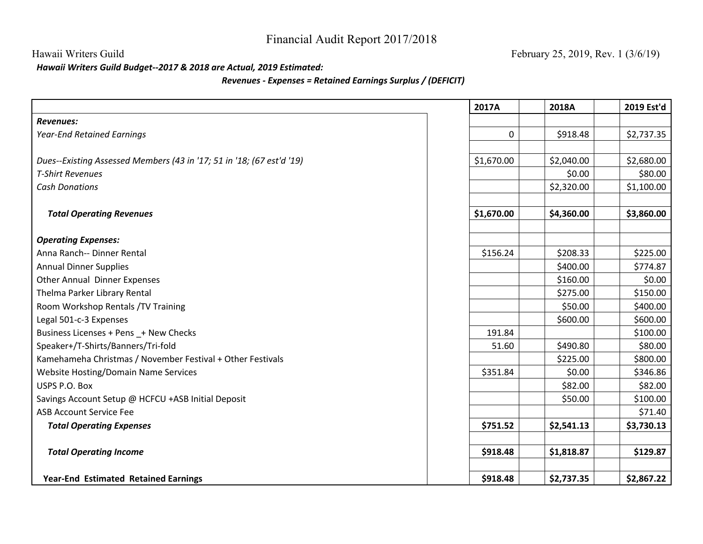*Hawaii Writers Guild Budget--2017 & 2018 are Actual, 2019 Estimated:*

## *Revenues - Expenses = Retained Earnings Surplus / (DEFICIT)*

|                                                                       | 2017A      | 2018A      | 2019 Est'd |
|-----------------------------------------------------------------------|------------|------------|------------|
| <b>Revenues:</b>                                                      |            |            |            |
| <b>Year-End Retained Earnings</b>                                     | 0          | \$918.48   | \$2,737.35 |
|                                                                       |            |            |            |
| Dues--Existing Assessed Members (43 in '17; 51 in '18; (67 est'd '19) | \$1,670.00 | \$2,040.00 | \$2,680.00 |
| <b>T-Shirt Revenues</b>                                               |            | \$0.00     | \$80.00    |
| <b>Cash Donations</b>                                                 |            | \$2,320.00 | \$1,100.00 |
|                                                                       |            |            |            |
| <b>Total Operating Revenues</b>                                       | \$1,670.00 | \$4,360.00 | \$3,860.00 |
|                                                                       |            |            |            |
| <b>Operating Expenses:</b>                                            |            |            |            |
| Anna Ranch-- Dinner Rental                                            | \$156.24   | \$208.33   | \$225.00   |
| <b>Annual Dinner Supplies</b>                                         |            | \$400.00   | \$774.87   |
| <b>Other Annual Dinner Expenses</b>                                   |            | \$160.00   | \$0.00     |
| Thelma Parker Library Rental                                          |            | \$275.00   | \$150.00   |
| Room Workshop Rentals /TV Training                                    |            | \$50.00    | \$400.00   |
| Legal 501-c-3 Expenses                                                |            | \$600.00   | \$600.00   |
| Business Licenses + Pens _+ New Checks                                | 191.84     |            | \$100.00   |
| Speaker+/T-Shirts/Banners/Tri-fold                                    | 51.60      | \$490.80   | \$80.00    |
| Kamehameha Christmas / November Festival + Other Festivals            |            | \$225.00   | \$800.00   |
| <b>Website Hosting/Domain Name Services</b>                           | \$351.84   | \$0.00     | \$346.86   |
| USPS P.O. Box                                                         |            | \$82.00    | \$82.00    |
| Savings Account Setup @ HCFCU +ASB Initial Deposit                    |            | \$50.00    | \$100.00   |
| <b>ASB Account Service Fee</b>                                        |            |            | \$71.40    |
| <b>Total Operating Expenses</b>                                       | \$751.52   | \$2,541.13 | \$3,730.13 |
| <b>Total Operating Income</b>                                         | \$918.48   | \$1,818.87 | \$129.87   |
| <b>Year-End Estimated Retained Earnings</b>                           | \$918.48   | \$2,737.35 | \$2,867.22 |

Hawaii Writers Guild February 25, 2019, Rev. 1 (3/6/19)